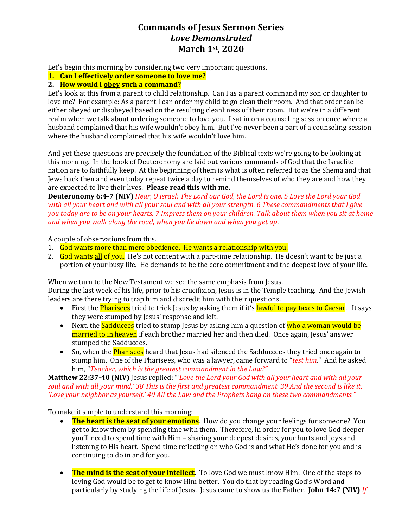# **Commands of Jesus Sermon Series** *Love Demonstrated* **March 1st, 2020**

Let's begin this morning by considering two very important questions.

**1. Can I effectively order someone to love me?**

### **2. How would I obey such a command?**

Let's look at this from a parent to child relationship. Can I as a parent command my son or daughter to love me? For example: As a parent I can order my child to go clean their room. And that order can be either obeyed or disobeyed based on the resulting cleanliness of their room. But we're in a different realm when we talk about ordering someone to love you. I sat in on a counseling session once where a husband complained that his wife wouldn't obey him. But I've never been a part of a counseling session where the husband complained that his wife wouldn't love him.

And yet these questions are precisely the foundation of the Biblical texts we're going to be looking at this morning. In the book of Deuteronomy are laid out various commands of God that the Israelite nation are to faithfully keep. At the beginning of them is what is often referred to as the Shema and that Jews back then and even today repeat twice a day to remind themselves of who they are and how they are expected to live their lives. **Please read this with me.**

**Deuteronomy 6:4-7 (NIV)** *Hear, O Israel: The Lord our God, the Lord is one. 5 Love the Lord your God with all your heart and with all your soul and with all your strength. 6 These commandments that I give you today are to be on your hearts. 7 Impress them on your children. Talk about them when you sit at home and when you walk along the road, when you lie down and when you get up*.

A couple of observations from this.

- 1. God wants more than mere obedience. He wants a relationship with you.
- 2. God wants all of you. He's not content with a part-time relationship. He doesn't want to be just a portion of your busy life. He demands to be the <u>core commitment</u> and the deepest love of your life.

When we turn to the New Testament we see the same emphasis from Jesus.

During the last week of his life, prior to his crucifixion, Jesus is in the Temple teaching. And the Jewish leaders are there trying to trap him and discredit him with their questions.

- First the **Pharisees** tried to trick Jesus by asking them if it's **lawful to pay taxes to Caesar**. It says they were stumped by Jesus' response and left.
- Next, the **Sadducees** tried to stump Jesus by asking him a question of who a woman would be married to in heaven if each brother married her and then died. Once again, Jesus' answer stumped the Sadducees.
- So, when the **Pharisees** heard that Jesus had silenced the Sadduccees they tried once again to stump him. One of the Pharisees, who was a lawyer, came forward to "*test him*." And he asked him, "*Teacher, which is the greatest commandment in the Law?"*

**Matthew 22:37-40 (NIV)** Jesus replied: "'*Love the Lord your God with all your heart and with all your soul and with all your mind.' 38 This is the first and greatest commandment. 39 And the second is like it: 'Love your neighbor as yourself.' 40 All the Law and the Prophets hang on these two commandments."*

To make it simple to understand this morning:

- **The heart is the seat of your emotions**. How do you change your feelings for someone? You get to know them by spending time with them. Therefore, in order for you to love God deeper you'll need to spend time with Him – sharing your deepest desires, your hurts and joys and listening to His heart. Spend time reflecting on who God is and what He's done for you and is continuing to do in and for you.
- **The mind is the seat of your intellect**. To love God we must know Him. One of the steps to loving God would be to get to know Him better. You do that by reading God's Word and particularly by studying the life of Jesus. Jesus came to show us the Father. **John 14:7 (NIV)** *If*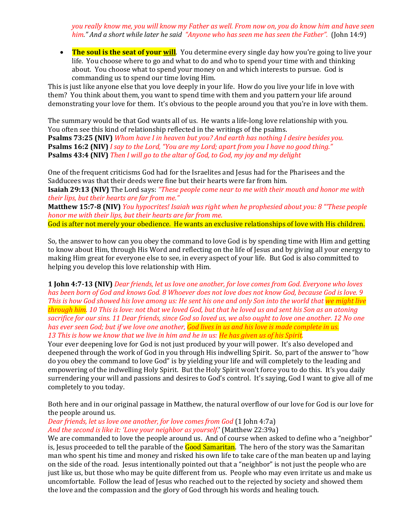*you really know me, you will know my Father as well. From now on, you do know him and have seen him." And a short while later he said "Anyone who has seen me has seen the Father".* (John 14:9)

• The soul is the seat of your will. You determine every single day how you're going to live your life. You choose where to go and what to do and who to spend your time with and thinking about. You choose what to spend your money on and which interests to pursue. God is commanding us to spend our time loving Him.

This is just like anyone else that you love deeply in your life. How do you live your life in love with them? You think about them, you want to spend time with them and you pattern your life around demonstrating your love for them. It's obvious to the people around you that you're in love with them.

The summary would be that God wants all of us. He wants a life-long love relationship with you. You often see this kind of relationship reflected in the writings of the psalms.

**Psalms 73:25 (NIV)** *Whom have I in heaven but you? And earth has nothing I desire besides you.* **Psalms 16:2 (NIV)** *I say to the Lord, "You are my Lord; apart from you I have no good thing."* **Psalms 43:4 (NIV)** *Then I will go to the altar of God, to God, my joy and my delight*

One of the frequent criticisms God had for the Israelites and Jesus had for the Pharisees and the Sadducees was that their deeds were fine but their hearts were far from him.

**Isaiah 29:13 (NIV)** The Lord says: *"These people come near to me with their mouth and honor me with their lips, but their hearts are far from me."*

**Matthew 15:7-8 (NIV)** *You hypocrites! Isaiah was right when he prophesied about you: 8 "'These people honor me with their lips, but their hearts are far from me.*

God is after not merely your obedience. He wants an exclusive relationships of love with His children.

So, the answer to how can you obey the command to love God is by spending time with Him and getting to know about Him, through His Word and reflecting on the life of Jesus and by giving all your energy to making Him great for everyone else to see, in every aspect of your life. But God is also committed to helping you develop this love relationship with Him.

**1 John 4:7-13 (NIV)** *Dear friends, let us love one another, for love comes from God. Everyone who loves has been born of God and knows God. 8 Whoever does not love does not know God, because God is love. 9 This is how God showed his love among us: He sent his one and only Son into the world that we might live through him. 10 This is love: not that we loved God, but that he loved us and sent his Son as an atoning sacrifice for our sins. 11 Dear friends, since God so loved us, we also ought to love one another. 12 No one has ever seen God; but if we love one another, God lives in us and his love is made complete in us. 13 This is how we know that we live in him and he in us: He has given us of his Spirit.*

Your ever deepening love for God is not just produced by your will power. It's also developed and deepened through the work of God in you through His indwelling Spirit. So, part of the answer to "how do you obey the command to love God" is by yielding your life and will completely to the leading and empowering of the indwelling Holy Spirit. But the Holy Spirit won't force you to do this. It's you daily surrendering your will and passions and desires to God's control. It's saying, God I want to give all of me completely to you today.

Both here and in our original passage in Matthew, the natural overflow of our love for God is our love for the people around us.

*Dear friends, let us love one another, for love comes from God* (1 John 4:7a) *And the second is like it: 'Love your neighbor as yourself.*' (Matthew 22:39a)

We are commanded to love the people around us. And of course when asked to define who a "neighbor" is, Jesus proceeded to tell the parable of the Good Samaritan. The hero of the story was the Samaritan man who spent his time and money and risked his own life to take care of the man beaten up and laying on the side of the road. Jesus intentionally pointed out that a "neighbor" is not just the people who are just like us, but those who may be quite different from us. People who may even irritate us and make us uncomfortable. Follow the lead of Jesus who reached out to the rejected by society and showed them the love and the compassion and the glory of God through his words and healing touch.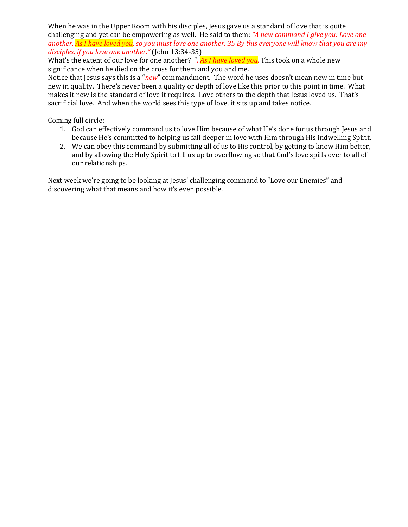When he was in the Upper Room with his disciples, Jesus gave us a standard of love that is quite challenging and yet can be empowering as well. He said to them: *"A new command I give you: Love one another. As I have loved you, so you must love one another. 35 By this everyone will know that you are my disciples, if you love one another."* (John 13:34-35)

What's the extent of our love for one another? "*. As I have loved you.* This took on a whole new significance when he died on the cross for them and you and me.

Notice that Jesus says this is a "*new*" commandment. The word he uses doesn't mean new in time but new in quality. There's never been a quality or depth of love like this prior to this point in time. What makes it new is the standard of love it requires. Love others to the depth that Jesus loved us. That's sacrificial love. And when the world sees this type of love, it sits up and takes notice.

Coming full circle:

- 1. God can effectively command us to love Him because of what He's done for us through Jesus and because He's committed to helping us fall deeper in love with Him through His indwelling Spirit.
- 2. We can obey this command by submitting all of us to His control, by getting to know Him better, and by allowing the Holy Spirit to fill us up to overflowing so that God's love spills over to all of our relationships.

Next week we're going to be looking at Jesus' challenging command to "Love our Enemies" and discovering what that means and how it's even possible.